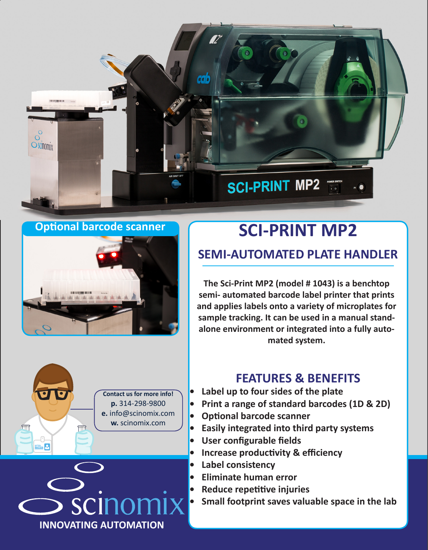

**Optional barcode scanner**



## **SCI-PRINT MP2 SEMI-AUTOMATED PLATE HANDLER**

**The Sci-Print MP2 (model # 1043) is a benchtop semi- automated barcode label printer that prints and applies labels onto a variety of microplates for sample tracking. It can be used in a manual standalone environment or integrated into a fully automated system.**





## **FEATURES & BENEFITS**

- **• Label up to four sides of the plate**
- **• Print a range of standard barcodes (1D & 2D)**
- **• Optional barcode scanner**
- **• Easily integrated into third party systems**
- **• User configurable fields**
- **• Increase productivity & efficiency**
- **• Label consistency**
- **• Eliminate human error**
- **• Reduce repetitive injuries**
- **• Small footprint saves valuable space in the lab**